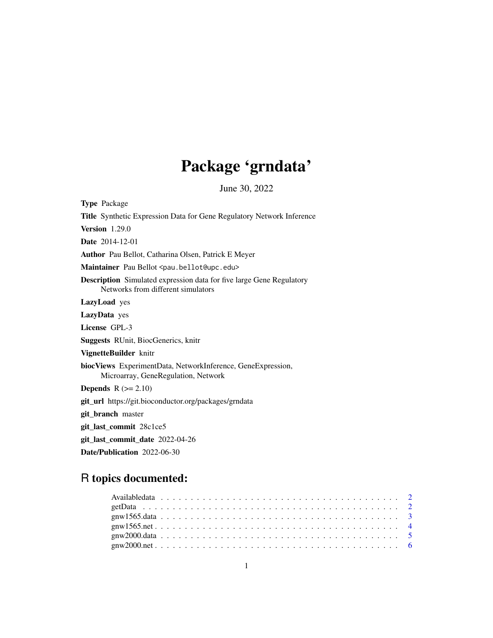# Package 'grndata'

June 30, 2022

| <b>Type Package</b>                                                                                               |
|-------------------------------------------------------------------------------------------------------------------|
| <b>Title</b> Synthetic Expression Data for Gene Regulatory Network Inference                                      |
| <b>Version</b> 1.29.0                                                                                             |
| <b>Date</b> 2014-12-01                                                                                            |
| Author Pau Bellot, Catharina Olsen, Patrick E Meyer                                                               |
| Maintainer Pau Bellot <pau.bellot@upc.edu></pau.bellot@upc.edu>                                                   |
| <b>Description</b> Simulated expression data for five large Gene Regulatory<br>Networks from different simulators |
| LazyLoad yes                                                                                                      |
| LazyData yes                                                                                                      |
| License GPL-3                                                                                                     |
| <b>Suggests</b> RUnit, BiocGenerics, knitr                                                                        |
| VignetteBuilder knitr                                                                                             |
| biocViews ExperimentData, NetworkInference, GeneExpression,<br>Microarray, GeneRegulation, Network                |
| <b>Depends</b> $R (= 2.10)$                                                                                       |
| git_url https://git.bioconductor.org/packages/grndata                                                             |
| git_branch master                                                                                                 |
| git_last_commit 28c1ce5                                                                                           |
| git_last_commit_date 2022-04-26                                                                                   |
| Date/Publication 2022-06-30                                                                                       |

### R topics documented: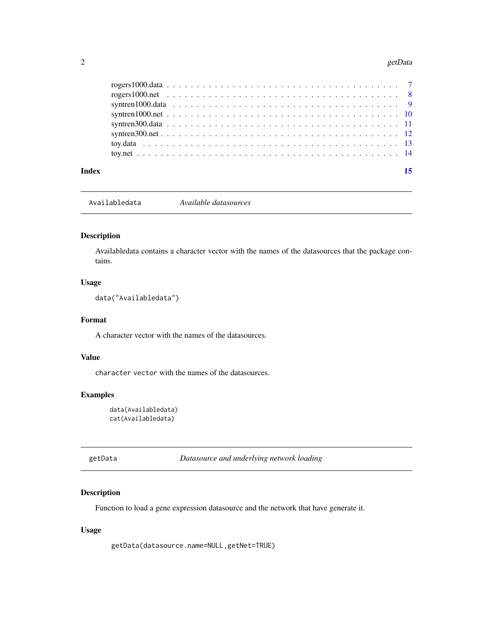#### <span id="page-1-0"></span>2 getData and the set of the set of the set of the set of the set of the set of the set of the set of the set of the set of the set of the set of the set of the set of the set of the set of the set of the set of the set of

| Index |  |  |  |  |  |  |  |  |  |  |  |  |  |  |  |  | 15 |
|-------|--|--|--|--|--|--|--|--|--|--|--|--|--|--|--|--|----|
|       |  |  |  |  |  |  |  |  |  |  |  |  |  |  |  |  |    |
|       |  |  |  |  |  |  |  |  |  |  |  |  |  |  |  |  |    |
|       |  |  |  |  |  |  |  |  |  |  |  |  |  |  |  |  |    |
|       |  |  |  |  |  |  |  |  |  |  |  |  |  |  |  |  |    |
|       |  |  |  |  |  |  |  |  |  |  |  |  |  |  |  |  |    |
|       |  |  |  |  |  |  |  |  |  |  |  |  |  |  |  |  |    |
|       |  |  |  |  |  |  |  |  |  |  |  |  |  |  |  |  |    |
|       |  |  |  |  |  |  |  |  |  |  |  |  |  |  |  |  |    |

Availabledata *Available datasources*

#### Description

Availabledata contains a character vector with the names of the datasources that the package contains.

#### Usage

data("Availabledata")

#### Format

A character vector with the names of the datasources.

#### Value

character vector with the names of the datasources.

#### Examples

data(Availabledata) cat(Availabledata)

| getData |
|---------|
|---------|

**Datasource and underlying network loading** 

#### Description

Function to load a gene expression datasource and the network that have generate it.

#### Usage

getData(datasource.name=NULL,getNet=TRUE)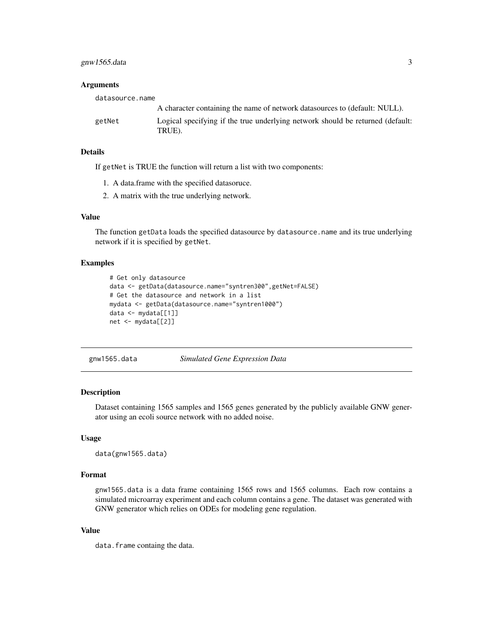<span id="page-2-0"></span>gnw1565.data 3

#### **Arguments**

| datasource.name |                                                                                          |
|-----------------|------------------------------------------------------------------------------------------|
|                 | A character containing the name of network datasources to (default: NULL).               |
| getNet          | Logical specifying if the true underlying network should be returned (default:<br>TRUE). |

#### Details

If getNet is TRUE the function will return a list with two components:

- 1. A data.frame with the specified datasoruce.
- 2. A matrix with the true underlying network.

#### Value

The function getData loads the specified datasource by datasource.name and its true underlying network if it is specified by getNet.

#### Examples

```
# Get only datasource
data <- getData(datasource.name="syntren300",getNet=FALSE)
# Get the datasource and network in a list
mydata <- getData(datasource.name="syntren1000")
data <- mydata[[1]]
net <- mydata[[2]]
```
<span id="page-2-1"></span>

gnw1565.data *Simulated Gene Expression Data*

#### Description

Dataset containing 1565 samples and 1565 genes generated by the publicly available GNW generator using an ecoli source network with no added noise.

#### Usage

data(gnw1565.data)

#### Format

gnw1565.data is a data frame containing 1565 rows and 1565 columns. Each row contains a simulated microarray experiment and each column contains a gene. The dataset was generated with GNW generator which relies on ODEs for modeling gene regulation.

#### Value

data.frame containg the data.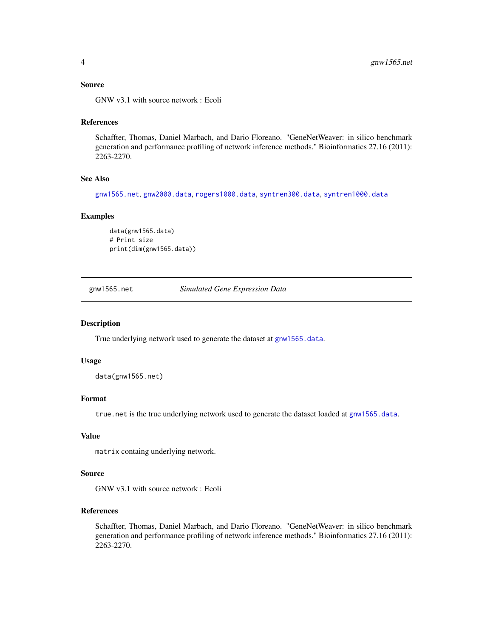#### <span id="page-3-0"></span>Source

GNW v3.1 with source network : Ecoli

#### References

Schaffter, Thomas, Daniel Marbach, and Dario Floreano. "GeneNetWeaver: in silico benchmark generation and performance profiling of network inference methods." Bioinformatics 27.16 (2011): 2263-2270.

#### See Also

[gnw1565.net](#page-3-1), [gnw2000.data](#page-4-1), [rogers1000.data](#page-6-1), [syntren300.data](#page-10-1), [syntren1000.data](#page-8-1)

#### Examples

```
data(gnw1565.data)
# Print size
print(dim(gnw1565.data))
```
<span id="page-3-1"></span>

gnw1565.net *Simulated Gene Expression Data*

#### Description

True underlying network used to generate the dataset at [gnw1565.data](#page-2-1).

#### Usage

data(gnw1565.net)

#### Format

true.net is the true underlying network used to generate the dataset loaded at [gnw1565.data](#page-2-1).

#### Value

matrix containg underlying network.

#### Source

GNW v3.1 with source network : Ecoli

#### References

Schaffter, Thomas, Daniel Marbach, and Dario Floreano. "GeneNetWeaver: in silico benchmark generation and performance profiling of network inference methods." Bioinformatics 27.16 (2011): 2263-2270.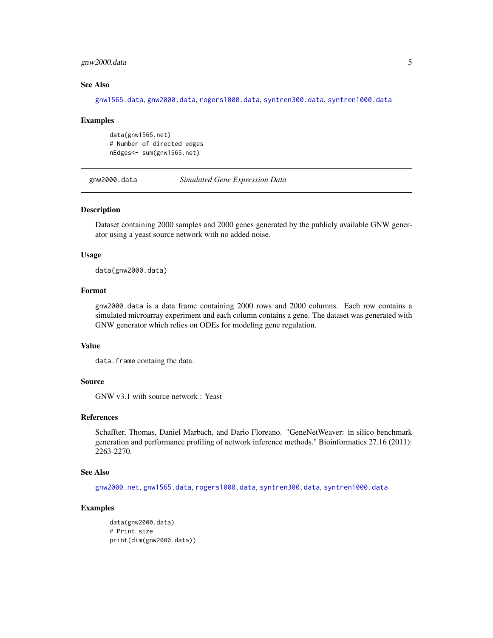#### <span id="page-4-0"></span>gnw2000.data 5

#### See Also

[gnw1565.data](#page-2-1), [gnw2000.data](#page-4-1), [rogers1000.data](#page-6-1), [syntren300.data](#page-10-1), [syntren1000.data](#page-8-1)

#### Examples

data(gnw1565.net) # Number of directed edges nEdges<- sum(gnw1565.net)

<span id="page-4-1"></span>gnw2000.data *Simulated Gene Expression Data*

#### Description

Dataset containing 2000 samples and 2000 genes generated by the publicly available GNW generator using a yeast source network with no added noise.

#### Usage

data(gnw2000.data)

#### Format

gnw2000.data is a data frame containing 2000 rows and 2000 columns. Each row contains a simulated microarray experiment and each column contains a gene. The dataset was generated with GNW generator which relies on ODEs for modeling gene regulation.

#### Value

data.frame containg the data.

#### Source

GNW v3.1 with source network : Yeast

#### References

Schaffter, Thomas, Daniel Marbach, and Dario Floreano. "GeneNetWeaver: in silico benchmark generation and performance profiling of network inference methods." Bioinformatics 27.16 (2011): 2263-2270.

#### See Also

[gnw2000.net](#page-5-1), [gnw1565.data](#page-2-1), [rogers1000.data](#page-6-1), [syntren300.data](#page-10-1), [syntren1000.data](#page-8-1)

```
data(gnw2000.data)
# Print size
print(dim(gnw2000.data))
```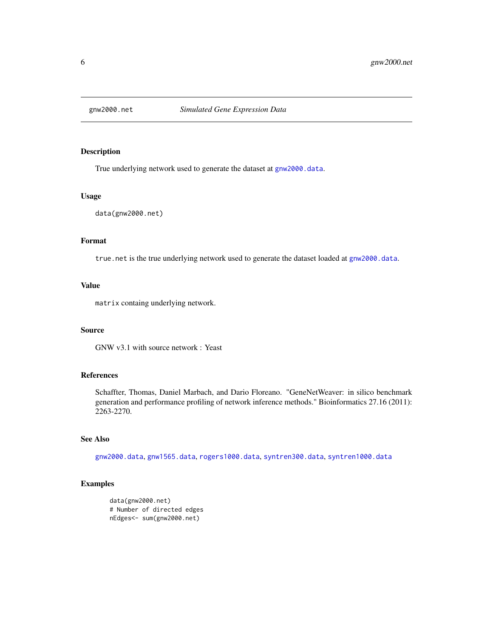<span id="page-5-1"></span><span id="page-5-0"></span>

True underlying network used to generate the dataset at [gnw2000.data](#page-4-1).

#### Usage

data(gnw2000.net)

#### Format

true.net is the true underlying network used to generate the dataset loaded at [gnw2000.data](#page-4-1).

#### Value

matrix containg underlying network.

#### Source

GNW v3.1 with source network : Yeast

#### References

Schaffter, Thomas, Daniel Marbach, and Dario Floreano. "GeneNetWeaver: in silico benchmark generation and performance profiling of network inference methods." Bioinformatics 27.16 (2011): 2263-2270.

#### See Also

[gnw2000.data](#page-4-1), [gnw1565.data](#page-2-1), [rogers1000.data](#page-6-1), [syntren300.data](#page-10-1), [syntren1000.data](#page-8-1)

```
data(gnw2000.net)
# Number of directed edges
nEdges<- sum(gnw2000.net)
```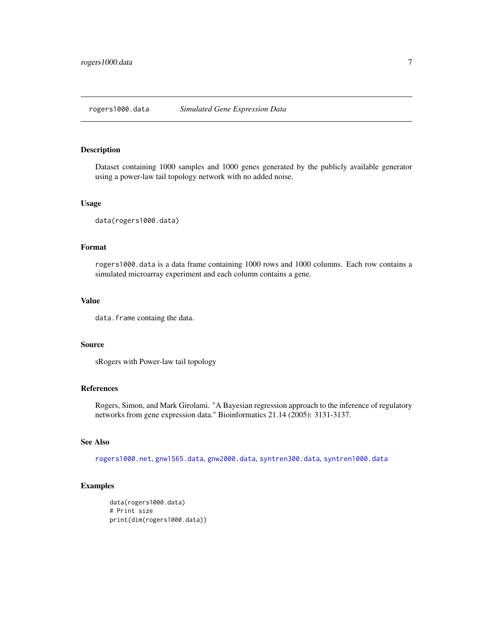<span id="page-6-1"></span><span id="page-6-0"></span>Dataset containing 1000 samples and 1000 genes generated by the publicly available generator using a power-law tail topology network with no added noise.

#### Usage

data(rogers1000.data)

#### Format

rogers1000.data is a data frame containing 1000 rows and 1000 columns. Each row contains a simulated microarray experiment and each column contains a gene.

#### Value

data.frame containg the data.

#### Source

sRogers with Power-law tail topology

#### References

Rogers, Simon, and Mark Girolami. "A Bayesian regression approach to the inference of regulatory networks from gene expression data." Bioinformatics 21.14 (2005): 3131-3137.

#### See Also

[rogers1000.net](#page-7-1), [gnw1565.data](#page-2-1), [gnw2000.data](#page-4-1), [syntren300.data](#page-10-1), [syntren1000.data](#page-8-1)

```
data(rogers1000.data)
# Print size
print(dim(rogers1000.data))
```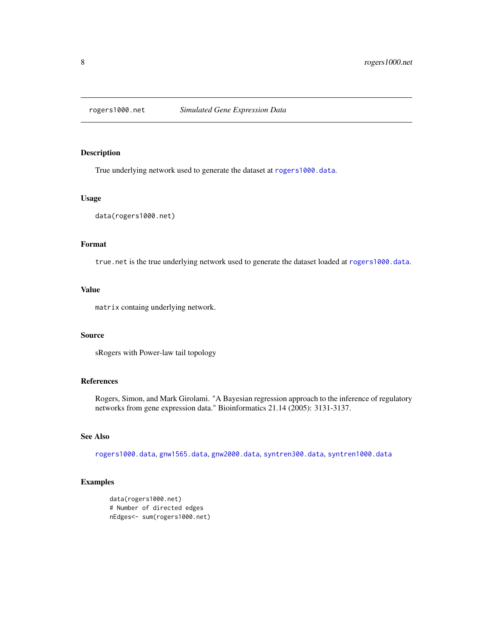<span id="page-7-1"></span><span id="page-7-0"></span>

True underlying network used to generate the dataset at [rogers1000.data](#page-6-1).

#### Usage

```
data(rogers1000.net)
```
### Format

true.net is the true underlying network used to generate the dataset loaded at [rogers1000.data](#page-6-1).

#### Value

matrix containg underlying network.

#### Source

sRogers with Power-law tail topology

#### References

Rogers, Simon, and Mark Girolami. "A Bayesian regression approach to the inference of regulatory networks from gene expression data." Bioinformatics 21.14 (2005): 3131-3137.

#### See Also

[rogers1000.data](#page-6-1), [gnw1565.data](#page-2-1), [gnw2000.data](#page-4-1), [syntren300.data](#page-10-1), [syntren1000.data](#page-8-1)

```
data(rogers1000.net)
# Number of directed edges
nEdges<- sum(rogers1000.net)
```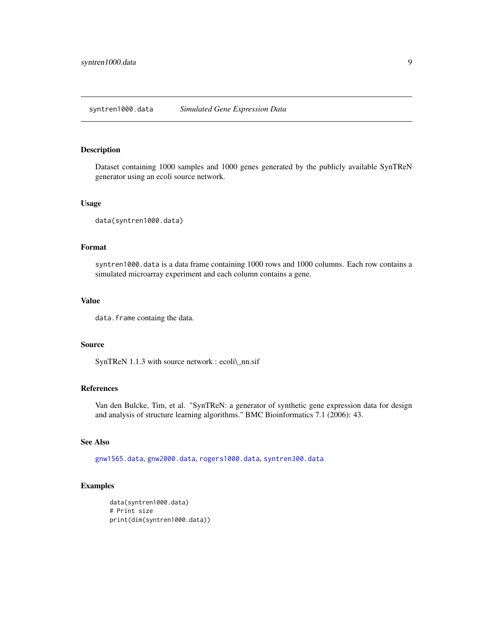<span id="page-8-1"></span><span id="page-8-0"></span>Dataset containing 1000 samples and 1000 genes generated by the publicly available SynTReN generator using an ecoli source network.

#### Usage

```
data(syntren1000.data)
```
#### Format

syntren1000.data is a data frame containing 1000 rows and 1000 columns. Each row contains a simulated microarray experiment and each column contains a gene.

#### Value

data.frame containg the data.

#### Source

SynTReN 1.1.3 with source network : ecoli\\_nn.sif

#### References

Van den Bulcke, Tim, et al. "SynTReN: a generator of synthetic gene expression data for design and analysis of structure learning algorithms." BMC Bioinformatics 7.1 (2006): 43.

#### See Also

[gnw1565.data](#page-2-1), [gnw2000.data](#page-4-1), [rogers1000.data](#page-6-1), [syntren300.data](#page-10-1)

```
data(syntren1000.data)
# Print size
print(dim(syntren1000.data))
```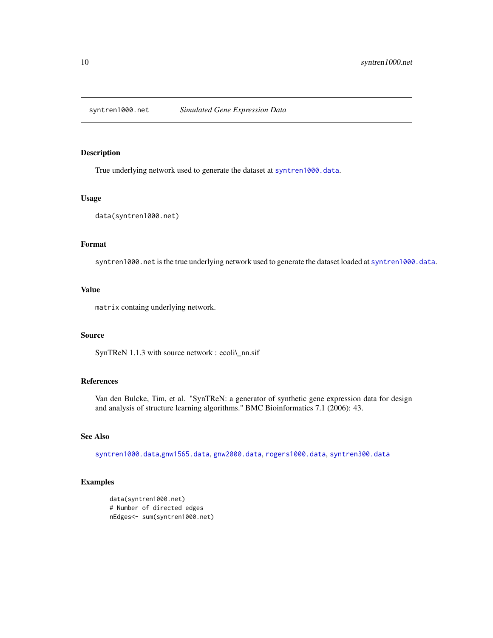<span id="page-9-0"></span>syntren1000.net *Simulated Gene Expression Data*

#### Description

True underlying network used to generate the dataset at [syntren1000.data](#page-8-1).

#### Usage

```
data(syntren1000.net)
```
#### Format

syntren1000.net is the true underlying network used to generate the dataset loaded at [syntren1000.data](#page-8-1).

#### Value

matrix containg underlying network.

#### Source

SynTReN 1.1.3 with source network : ecoli\\_nn.sif

#### References

Van den Bulcke, Tim, et al. "SynTReN: a generator of synthetic gene expression data for design and analysis of structure learning algorithms." BMC Bioinformatics 7.1 (2006): 43.

#### See Also

[syntren1000.data](#page-8-1),[gnw1565.data](#page-2-1), [gnw2000.data](#page-4-1), [rogers1000.data](#page-6-1), [syntren300.data](#page-10-1)

```
data(syntren1000.net)
# Number of directed edges
nEdges<- sum(syntren1000.net)
```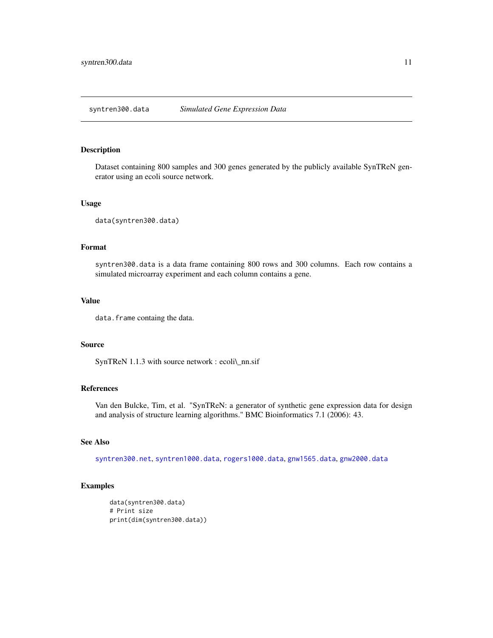<span id="page-10-1"></span><span id="page-10-0"></span>Dataset containing 800 samples and 300 genes generated by the publicly available SynTReN generator using an ecoli source network.

#### Usage

data(syntren300.data)

#### Format

syntren300.data is a data frame containing 800 rows and 300 columns. Each row contains a simulated microarray experiment and each column contains a gene.

#### Value

data.frame containg the data.

#### Source

SynTReN 1.1.3 with source network : ecoli\\_nn.sif

#### References

Van den Bulcke, Tim, et al. "SynTReN: a generator of synthetic gene expression data for design and analysis of structure learning algorithms." BMC Bioinformatics 7.1 (2006): 43.

#### See Also

[syntren300.net](#page-11-1), [syntren1000.data](#page-8-1), [rogers1000.data](#page-6-1), [gnw1565.data](#page-2-1), [gnw2000.data](#page-4-1)

```
data(syntren300.data)
# Print size
print(dim(syntren300.data))
```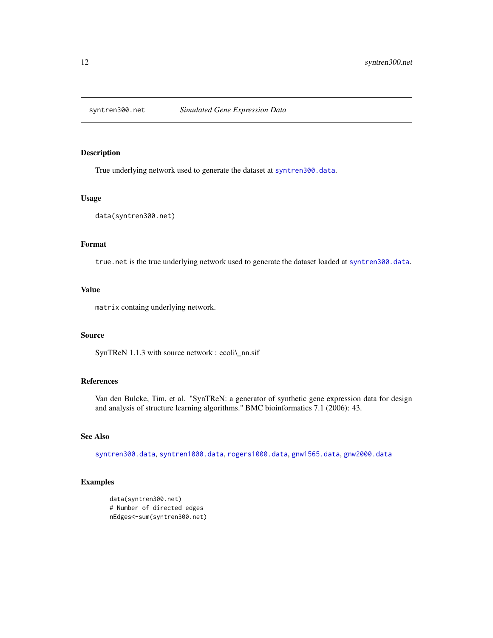<span id="page-11-1"></span><span id="page-11-0"></span>

True underlying network used to generate the dataset at [syntren300.data](#page-10-1).

#### Usage

data(syntren300.net)

### Format

true.net is the true underlying network used to generate the dataset loaded at [syntren300.data](#page-10-1).

#### Value

matrix containg underlying network.

#### Source

SynTReN 1.1.3 with source network : ecoli\\_nn.sif

#### References

Van den Bulcke, Tim, et al. "SynTReN: a generator of synthetic gene expression data for design and analysis of structure learning algorithms." BMC bioinformatics 7.1 (2006): 43.

#### See Also

[syntren300.data](#page-10-1), [syntren1000.data](#page-8-1), [rogers1000.data](#page-6-1), [gnw1565.data](#page-2-1), [gnw2000.data](#page-4-1)

#### Examples

data(syntren300.net) # Number of directed edges nEdges<-sum(syntren300.net)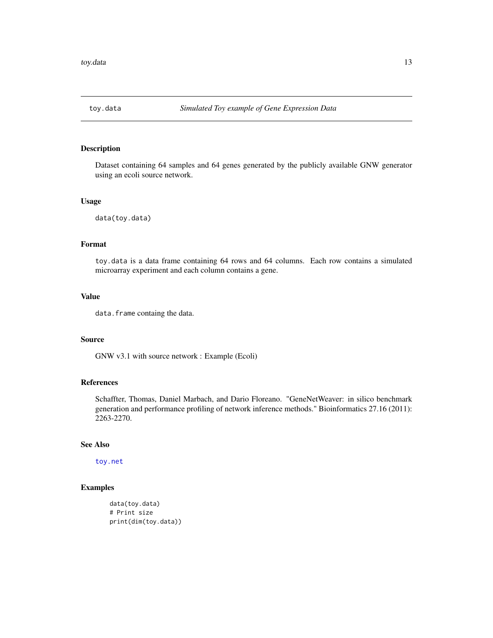<span id="page-12-1"></span><span id="page-12-0"></span>

Dataset containing 64 samples and 64 genes generated by the publicly available GNW generator using an ecoli source network.

#### Usage

data(toy.data)

### Format

toy.data is a data frame containing 64 rows and 64 columns. Each row contains a simulated microarray experiment and each column contains a gene.

#### Value

data.frame containg the data.

#### Source

GNW v3.1 with source network : Example (Ecoli)

#### References

Schaffter, Thomas, Daniel Marbach, and Dario Floreano. "GeneNetWeaver: in silico benchmark generation and performance profiling of network inference methods." Bioinformatics 27.16 (2011): 2263-2270.

#### See Also

[toy.net](#page-13-1)

```
data(toy.data)
# Print size
print(dim(toy.data))
```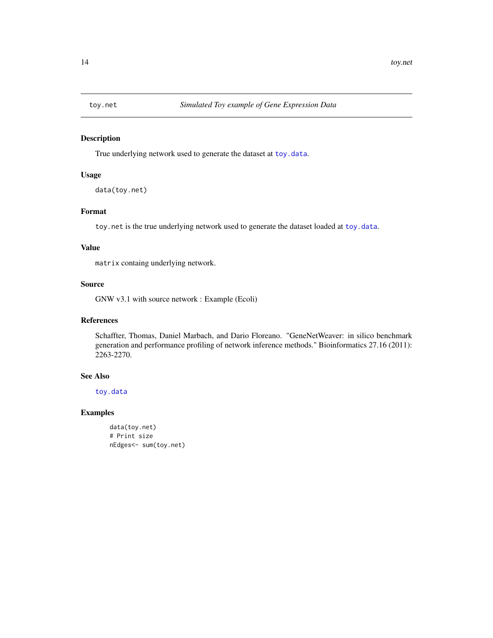<span id="page-13-1"></span><span id="page-13-0"></span>

True underlying network used to generate the dataset at [toy.data](#page-12-1).

#### Usage

```
data(toy.net)
```
#### Format

toy.net is the true underlying network used to generate the dataset loaded at [toy.data](#page-12-1).

#### Value

matrix containg underlying network.

#### Source

GNW v3.1 with source network : Example (Ecoli)

#### References

Schaffter, Thomas, Daniel Marbach, and Dario Floreano. "GeneNetWeaver: in silico benchmark generation and performance profiling of network inference methods." Bioinformatics 27.16 (2011): 2263-2270.

#### See Also

[toy.data](#page-12-1)

```
data(toy.net)
# Print size
nEdges<- sum(toy.net)
```